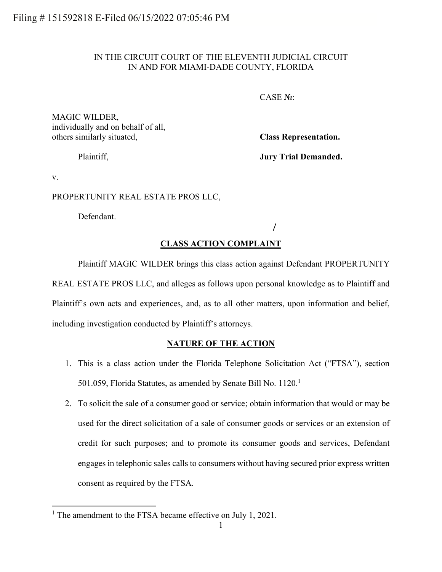# IN THE CIRCUIT COURT OF THE ELEVENTH JUDICIAL CIRCUIT IN AND FOR MIAMI-DADE COUNTY, FLORIDA

CASE №:

/

MAGIC WILDER, individually and on behalf of all, others similarly situated, **Class Representation.**

Plaintiff, **Jury Trial Demanded.**

v.

PROPERTUNITY REAL ESTATE PROS LLC,

Defendant.

# **CLASS ACTION COMPLAINT**

Plaintiff MAGIC WILDER brings this class action against Defendant PROPERTUNITY REAL ESTATE PROS LLC, and alleges as follows upon personal knowledge as to Plaintiff and Plaintiff's own acts and experiences, and, as to all other matters, upon information and belief, including investigation conducted by Plaintiff's attorneys.

# **NATURE OF THE ACTION**

- 1. This is a class action under the Florida Telephone Solicitation Act ("FTSA"), section 501.059, Florida Statutes, as amended by Senate Bill No. 1120.<sup>1</sup>
- 2. To solicit the sale of a consumer good or service; obtain information that would or may be used for the direct solicitation of a sale of consumer goods or services or an extension of credit for such purposes; and to promote its consumer goods and services, Defendant engages in telephonic sales calls to consumers without having secured prior express written consent as required by the FTSA.

<sup>&</sup>lt;sup>1</sup> The amendment to the FTSA became effective on July 1, 2021.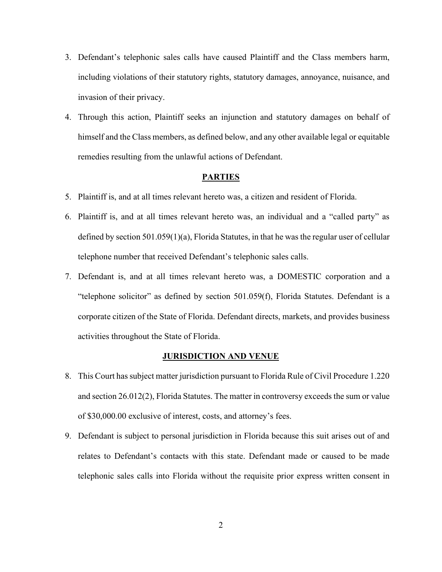- 3. Defendant's telephonic sales calls have caused Plaintiff and the Class members harm, including violations of their statutory rights, statutory damages, annoyance, nuisance, and invasion of their privacy.
- 4. Through this action, Plaintiff seeks an injunction and statutory damages on behalf of himself and the Class members, as defined below, and any other available legal or equitable remedies resulting from the unlawful actions of Defendant.

### **PARTIES**

- 5. Plaintiff is, and at all times relevant hereto was, a citizen and resident of Florida.
- 6. Plaintiff is, and at all times relevant hereto was, an individual and a "called party" as defined by section 501.059(1)(a), Florida Statutes, in that he was the regular user of cellular telephone number that received Defendant's telephonic sales calls.
- 7. Defendant is, and at all times relevant hereto was, a DOMESTIC corporation and a "telephone solicitor" as defined by section 501.059(f), Florida Statutes. Defendant is a corporate citizen of the State of Florida. Defendant directs, markets, and provides business activities throughout the State of Florida.

#### **JURISDICTION AND VENUE**

- 8. This Court has subject matter jurisdiction pursuant to Florida Rule of Civil Procedure 1.220 and section 26.012(2), Florida Statutes. The matter in controversy exceeds the sum or value of \$30,000.00 exclusive of interest, costs, and attorney's fees.
- 9. Defendant is subject to personal jurisdiction in Florida because this suit arises out of and relates to Defendant's contacts with this state. Defendant made or caused to be made telephonic sales calls into Florida without the requisite prior express written consent in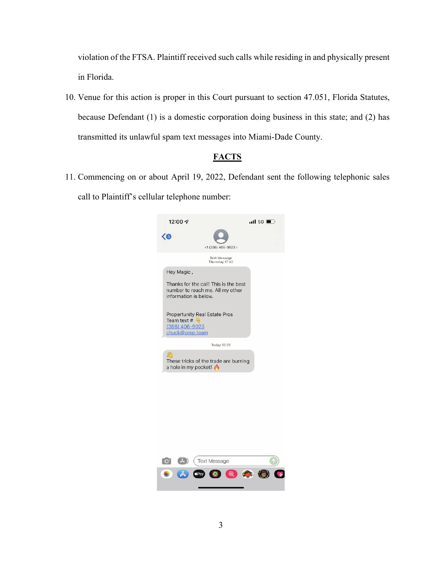violation of the FTSA. Plaintiff received such calls while residing in and physically present in Florida.

10. Venue for this action is proper in this Court pursuant to section 47.051, Florida Statutes, because Defendant (1) is a domestic corporation doing business in this state; and (2) has transmitted its unlawful spam text messages into Miami-Dade County.

# **FACTS**

11. Commencing on or about April 19, 2022, Defendant sent the following telephonic sales call to Plaintiff's cellular telephone number:



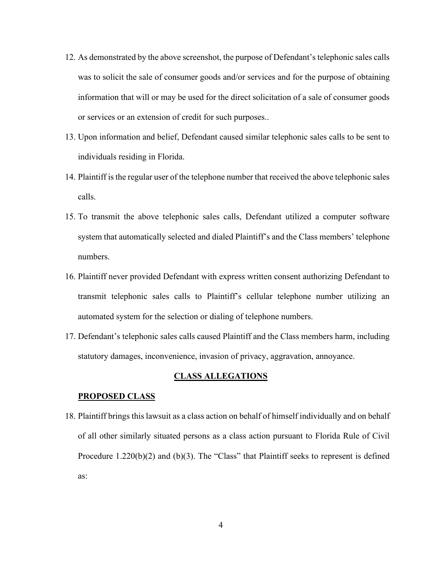- 12. As demonstrated by the above screenshot, the purpose of Defendant's telephonic sales calls was to solicit the sale of consumer goods and/or services and for the purpose of obtaining information that will or may be used for the direct solicitation of a sale of consumer goods or services or an extension of credit for such purposes..
- 13. Upon information and belief, Defendant caused similar telephonic sales calls to be sent to individuals residing in Florida.
- 14. Plaintiff is the regular user of the telephone number that received the above telephonic sales calls.
- 15. To transmit the above telephonic sales calls, Defendant utilized a computer software system that automatically selected and dialed Plaintiff's and the Class members' telephone numbers.
- 16. Plaintiff never provided Defendant with express written consent authorizing Defendant to transmit telephonic sales calls to Plaintiff's cellular telephone number utilizing an automated system for the selection or dialing of telephone numbers.
- 17. Defendant's telephonic sales calls caused Plaintiff and the Class members harm, including statutory damages, inconvenience, invasion of privacy, aggravation, annoyance.

### **CLASS ALLEGATIONS**

### **PROPOSED CLASS**

18. Plaintiff brings this lawsuit as a class action on behalf of himself individually and on behalf of all other similarly situated persons as a class action pursuant to Florida Rule of Civil Procedure 1.220(b)(2) and (b)(3). The "Class" that Plaintiff seeks to represent is defined as: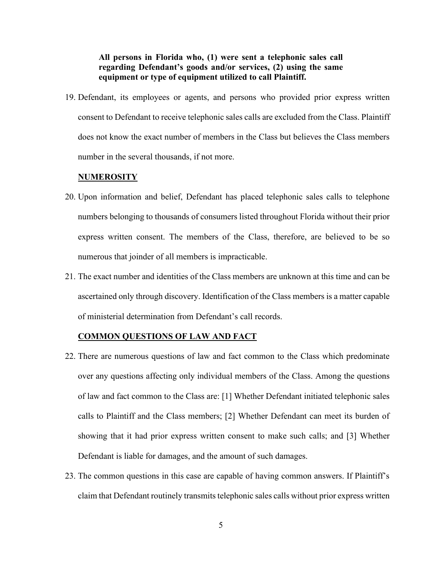# **All persons in Florida who, (1) were sent a telephonic sales call regarding Defendant's goods and/or services, (2) using the same equipment or type of equipment utilized to call Plaintiff.**

19. Defendant, its employees or agents, and persons who provided prior express written consent to Defendant to receive telephonic sales calls are excluded from the Class. Plaintiff does not know the exact number of members in the Class but believes the Class members number in the several thousands, if not more.

#### **NUMEROSITY**

- 20. Upon information and belief, Defendant has placed telephonic sales calls to telephone numbers belonging to thousands of consumers listed throughout Florida without their prior express written consent. The members of the Class, therefore, are believed to be so numerous that joinder of all members is impracticable.
- 21. The exact number and identities of the Class members are unknown at this time and can be ascertained only through discovery. Identification of the Class members is a matter capable of ministerial determination from Defendant's call records.

### **COMMON QUESTIONS OF LAW AND FACT**

- 22. There are numerous questions of law and fact common to the Class which predominate over any questions affecting only individual members of the Class. Among the questions of law and fact common to the Class are: [1] Whether Defendant initiated telephonic sales calls to Plaintiff and the Class members; [2] Whether Defendant can meet its burden of showing that it had prior express written consent to make such calls; and [3] Whether Defendant is liable for damages, and the amount of such damages.
- 23. The common questions in this case are capable of having common answers. If Plaintiff's claim that Defendant routinely transmits telephonic sales calls without prior express written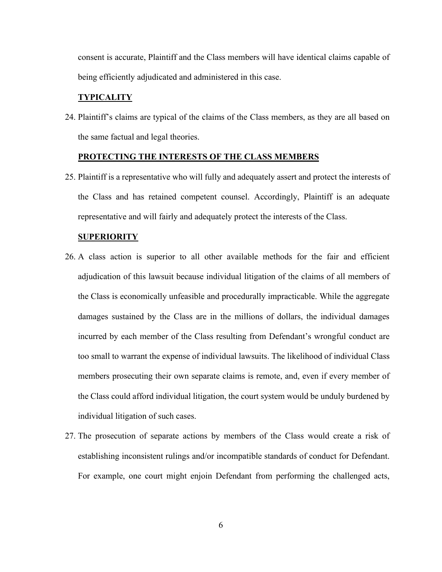consent is accurate, Plaintiff and the Class members will have identical claims capable of being efficiently adjudicated and administered in this case.

### **TYPICALITY**

24. Plaintiff's claims are typical of the claims of the Class members, as they are all based on the same factual and legal theories.

### **PROTECTING THE INTERESTS OF THE CLASS MEMBERS**

25. Plaintiff is a representative who will fully and adequately assert and protect the interests of the Class and has retained competent counsel. Accordingly, Plaintiff is an adequate representative and will fairly and adequately protect the interests of the Class.

#### **SUPERIORITY**

- 26. A class action is superior to all other available methods for the fair and efficient adjudication of this lawsuit because individual litigation of the claims of all members of the Class is economically unfeasible and procedurally impracticable. While the aggregate damages sustained by the Class are in the millions of dollars, the individual damages incurred by each member of the Class resulting from Defendant's wrongful conduct are too small to warrant the expense of individual lawsuits. The likelihood of individual Class members prosecuting their own separate claims is remote, and, even if every member of the Class could afford individual litigation, the court system would be unduly burdened by individual litigation of such cases.
- 27. The prosecution of separate actions by members of the Class would create a risk of establishing inconsistent rulings and/or incompatible standards of conduct for Defendant. For example, one court might enjoin Defendant from performing the challenged acts,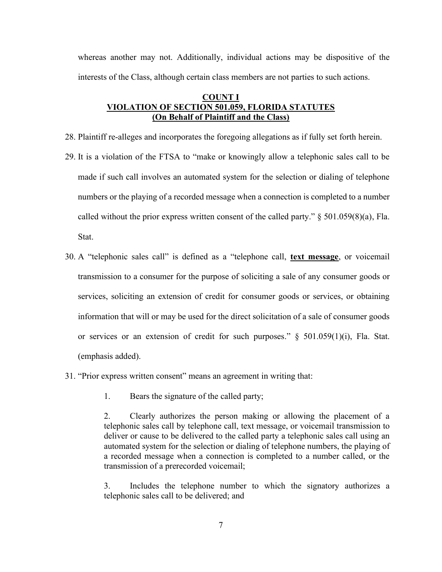whereas another may not. Additionally, individual actions may be dispositive of the interests of the Class, although certain class members are not parties to such actions.

# **COUNT I VIOLATION OF SECTION 501.059, FLORIDA STATUTES (On Behalf of Plaintiff and the Class)**

- 28. Plaintiff re-alleges and incorporates the foregoing allegations as if fully set forth herein.
- 29. It is a violation of the FTSA to "make or knowingly allow a telephonic sales call to be made if such call involves an automated system for the selection or dialing of telephone numbers or the playing of a recorded message when a connection is completed to a number called without the prior express written consent of the called party."  $\S$  501.059(8)(a), Fla. **Stat.**
- 30. A "telephonic sales call" is defined as a "telephone call, **text message**, or voicemail transmission to a consumer for the purpose of soliciting a sale of any consumer goods or services, soliciting an extension of credit for consumer goods or services, or obtaining information that will or may be used for the direct solicitation of a sale of consumer goods or services or an extension of credit for such purposes." § 501.059(1)(i), Fla. Stat. (emphasis added).
- 31. "Prior express written consent" means an agreement in writing that:
	- 1. Bears the signature of the called party;

2. Clearly authorizes the person making or allowing the placement of a telephonic sales call by telephone call, text message, or voicemail transmission to deliver or cause to be delivered to the called party a telephonic sales call using an automated system for the selection or dialing of telephone numbers, the playing of a recorded message when a connection is completed to a number called, or the transmission of a prerecorded voicemail;

3. Includes the telephone number to which the signatory authorizes a telephonic sales call to be delivered; and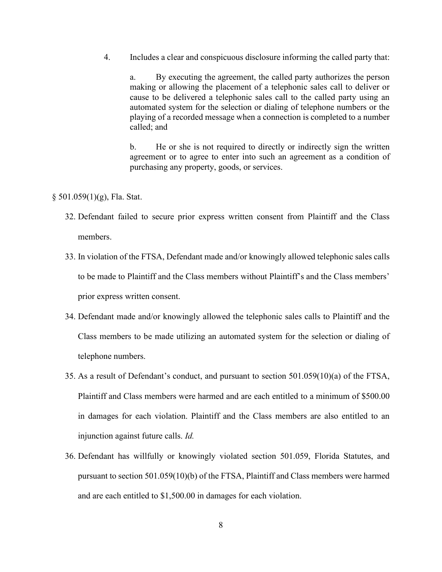4. Includes a clear and conspicuous disclosure informing the called party that:

a. By executing the agreement, the called party authorizes the person making or allowing the placement of a telephonic sales call to deliver or cause to be delivered a telephonic sales call to the called party using an automated system for the selection or dialing of telephone numbers or the playing of a recorded message when a connection is completed to a number called; and

b. He or she is not required to directly or indirectly sign the written agreement or to agree to enter into such an agreement as a condition of purchasing any property, goods, or services.

- § 501.059(1)(g), Fla. Stat.
	- 32. Defendant failed to secure prior express written consent from Plaintiff and the Class members.
	- 33. In violation of the FTSA, Defendant made and/or knowingly allowed telephonic sales calls to be made to Plaintiff and the Class members without Plaintiff's and the Class members' prior express written consent.
	- 34. Defendant made and/or knowingly allowed the telephonic sales calls to Plaintiff and the Class members to be made utilizing an automated system for the selection or dialing of telephone numbers.
	- 35. As a result of Defendant's conduct, and pursuant to section 501.059(10)(a) of the FTSA, Plaintiff and Class members were harmed and are each entitled to a minimum of \$500.00 in damages for each violation. Plaintiff and the Class members are also entitled to an injunction against future calls. *Id.*
	- 36. Defendant has willfully or knowingly violated section 501.059, Florida Statutes, and pursuant to section 501.059(10)(b) of the FTSA, Plaintiff and Class members were harmed and are each entitled to \$1,500.00 in damages for each violation.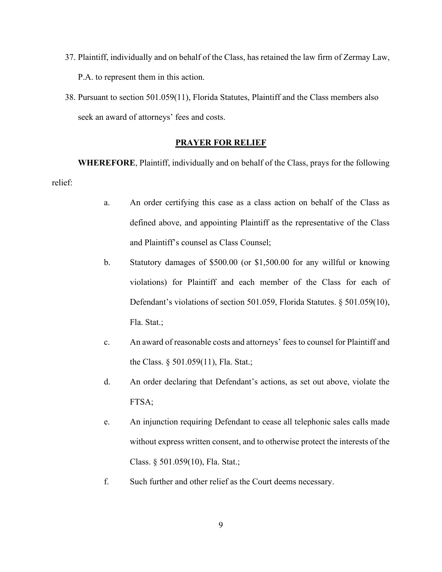- 37. Plaintiff, individually and on behalf of the Class, has retained the law firm of Zermay Law, P.A. to represent them in this action.
- 38. Pursuant to section 501.059(11), Florida Statutes, Plaintiff and the Class members also seek an award of attorneys' fees and costs.

# **PRAYER FOR RELIEF**

**WHEREFORE**, Plaintiff, individually and on behalf of the Class, prays for the following relief:

- a. An order certifying this case as a class action on behalf of the Class as defined above, and appointing Plaintiff as the representative of the Class and Plaintiff's counsel as Class Counsel;
- b. Statutory damages of \$500.00 (or \$1,500.00 for any willful or knowing violations) for Plaintiff and each member of the Class for each of Defendant's violations of section 501.059, Florida Statutes. § 501.059(10), Fla. Stat.;
- c. An award of reasonable costs and attorneys' fees to counsel for Plaintiff and the Class. § 501.059(11), Fla. Stat.;
- d. An order declaring that Defendant's actions, as set out above, violate the FTSA;
- e. An injunction requiring Defendant to cease all telephonic sales calls made without express written consent, and to otherwise protect the interests of the Class. § 501.059(10), Fla. Stat.;
- f. Such further and other relief as the Court deems necessary.